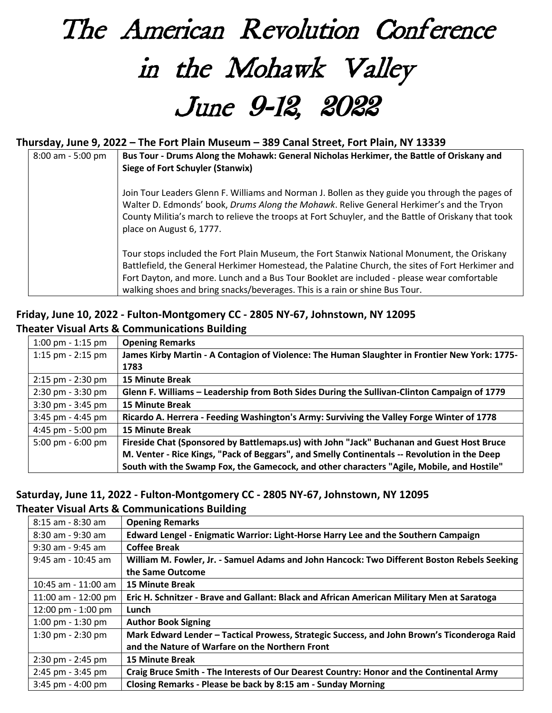## The American Revolution Conference in the Mohawk Valley June 9-12, 2022

## **Thursday, June 9, 2022 – The Fort Plain Museum – 389 Canal Street, Fort Plain, NY 13339**

| 8:00 am - 5:00 pm | Bus Tour - Drums Along the Mohawk: General Nicholas Herkimer, the Battle of Oriskany and<br>Siege of Fort Schuyler (Stanwix)                                                                                                                                                                                                                                                 |
|-------------------|------------------------------------------------------------------------------------------------------------------------------------------------------------------------------------------------------------------------------------------------------------------------------------------------------------------------------------------------------------------------------|
|                   | Join Tour Leaders Glenn F. Williams and Norman J. Bollen as they guide you through the pages of<br>Walter D. Edmonds' book, Drums Along the Mohawk. Relive General Herkimer's and the Tryon<br>County Militia's march to relieve the troops at Fort Schuyler, and the Battle of Oriskany that took<br>place on August 6, 1777.                                               |
|                   | Tour stops included the Fort Plain Museum, the Fort Stanwix National Monument, the Oriskany<br>Battlefield, the General Herkimer Homestead, the Palatine Church, the sites of Fort Herkimer and<br>Fort Dayton, and more. Lunch and a Bus Tour Booklet are included - please wear comfortable<br>walking shoes and bring snacks/beverages. This is a rain or shine Bus Tour. |

## **Friday, June 10, 2022 - Fulton-Montgomery CC - 2805 NY-67, Johnstown, NY 12095 Theater Visual Arts & Communications Building**

| 1:00 pm $-$ 1:15 pm                 | <b>Opening Remarks</b>                                                                        |
|-------------------------------------|-----------------------------------------------------------------------------------------------|
| 1:15 pm $-$ 2:15 pm                 | James Kirby Martin - A Contagion of Violence: The Human Slaughter in Frontier New York: 1775- |
|                                     | 1783                                                                                          |
| $2:15$ pm - $2:30$ pm               | <b>15 Minute Break</b>                                                                        |
| $2:30 \text{ pm} - 3:30 \text{ pm}$ | Glenn F. Williams - Leadership from Both Sides During the Sullivan-Clinton Campaign of 1779   |
| $3:30$ pm - $3:45$ pm               | <b>15 Minute Break</b>                                                                        |
| $3:45$ pm - $4:45$ pm               | Ricardo A. Herrera - Feeding Washington's Army: Surviving the Valley Forge Winter of 1778     |
| 4:45 pm - 5:00 pm                   | <b>15 Minute Break</b>                                                                        |
| 5:00 pm $-6:00$ pm                  | Fireside Chat (Sponsored by Battlemaps.us) with John "Jack" Buchanan and Guest Host Bruce     |
|                                     | M. Venter - Rice Kings, "Pack of Beggars", and Smelly Continentals -- Revolution in the Deep  |
|                                     | South with the Swamp Fox, the Gamecock, and other characters "Agile, Mobile, and Hostile"     |

## **Saturday, June 11, 2022 - Fulton-Montgomery CC - 2805 NY-67, Johnstown, NY 12095 Theater Visual Arts & Communications Building**

| 8:15 am - 8:30 am     | <b>Opening Remarks</b>                                                                      |
|-----------------------|---------------------------------------------------------------------------------------------|
| 8:30 am - 9:30 am     | Edward Lengel - Enigmatic Warrior: Light-Horse Harry Lee and the Southern Campaign          |
| 9:30 am - 9:45 am     | <b>Coffee Break</b>                                                                         |
| $9:45$ am - 10:45 am  | William M. Fowler, Jr. - Samuel Adams and John Hancock: Two Different Boston Rebels Seeking |
|                       | the Same Outcome                                                                            |
| 10:45 am - 11:00 am   | <b>15 Minute Break</b>                                                                      |
| 11:00 am - 12:00 pm   | Eric H. Schnitzer - Brave and Gallant: Black and African American Military Men at Saratoga  |
| 12:00 pm - 1:00 pm    | Lunch                                                                                       |
| 1:00 pm $-$ 1:30 pm   | <b>Author Book Signing</b>                                                                  |
| 1:30 pm $-$ 2:30 pm   | Mark Edward Lender - Tactical Prowess, Strategic Success, and John Brown's Ticonderoga Raid |
|                       | and the Nature of Warfare on the Northern Front                                             |
| $2:30$ pm - $2:45$ pm | <b>15 Minute Break</b>                                                                      |
| 2:45 pm - 3:45 pm     | Craig Bruce Smith - The Interests of Our Dearest Country: Honor and the Continental Army    |
| $3:45$ pm - $4:00$ pm | Closing Remarks - Please be back by 8:15 am - Sunday Morning                                |